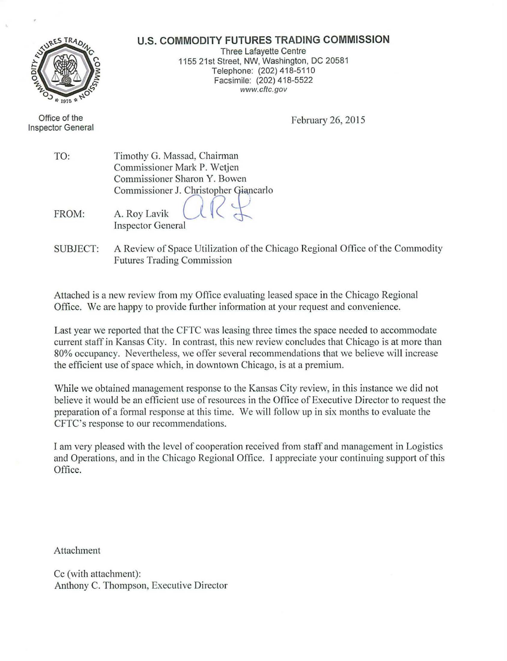

Inspector General

**U.S. COMMODITY FUTURES TRADING COMMISSION** 

Three Lafayette Centre 1155 21st Street, NW, Washington, DC 20581 Telephone: (202) 418-5110 Facsimile: (202) 418-5522 www.cftc.gov

Office of the February 26, 2015

TO: Timothy G. Massad, Chairman Commissioner Mark P. Wetjen Commissioner Sharon Y. Bowen Commissioner J. Christopher Giancarlo FROM: A. Roy Lavik *R*<br>Inspector General

SUBJECT: A Review of Space Utilization of the Chicago Regional Office of the Commodity Futures Trading Commission

Attached is a new review from my Office evaluating leased space in the Chicago Regional Office. We are happy to provide further information at your request and convenience.

Last year we reported that the CFTC was leasing three times the space needed to accommodate current staff in Kansas City. In contrast, this new review concludes that Chicago is at more than 80% occupancy. Nevertheless, we offer several recommendations that we believe will increase the efficient use of space which, in downtown Chicago, is at a premium.

While we obtained management response to the Kansas City review, in this instance we did not believe it would be an efficient use of resources in the Office of Executive Director to request the preparation of a formal response at this time. We will follow up in six months to evaluate the CFTC's response to our recommendations.

I am very pleased with the level of cooperation received from staff and management in Logistics and Operations, and in the Chicago Regional Office. I appreciate your continuing support of this Office.

**Attachment** 

Cc (with attachment): Anthony C. Thompson, Executive Director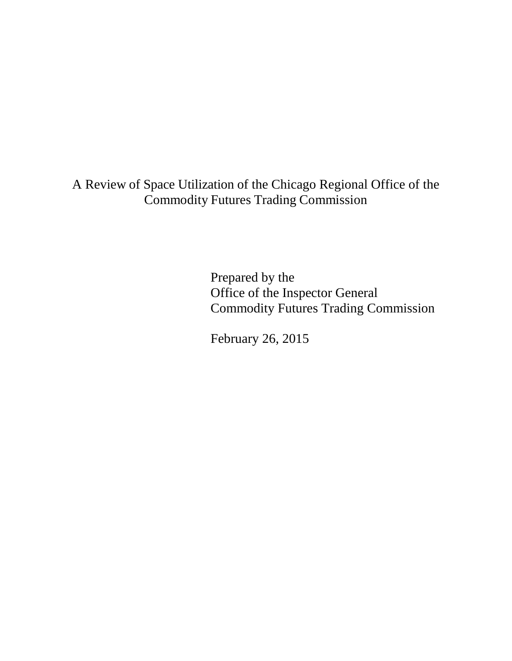A Review of Space Utilization of the Chicago Regional Office of the Commodity Futures Trading Commission

> Prepared by the Office of the Inspector General Commodity Futures Trading Commission

February 26, 2015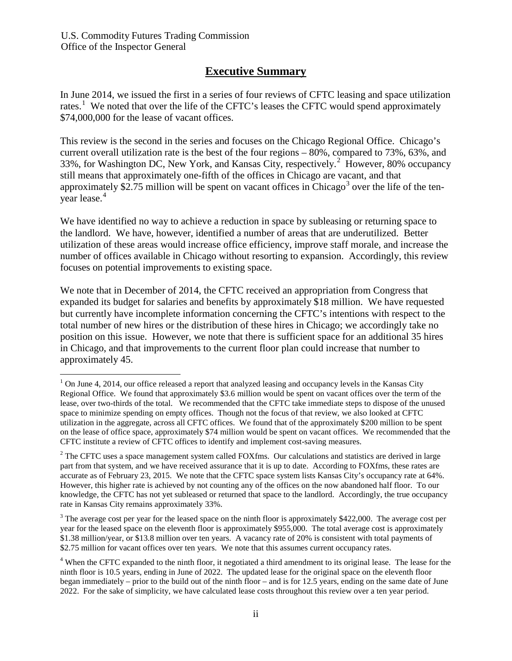<u>.</u>

## **Executive Summary**

rates.<sup>1</sup> We noted that over the life of the CFTC's leases the CFTC would spend approximately In June 2014, we issued the first in a series of four reviews of CFTC leasing and space utilization \$74,000,000 for the lease of vacant offices.

 This review is the second in the series and focuses on the Chicago Regional Office. Chicago's current overall utilization rate is the best of the four regions – 80%, compared to 73%, 63%, and 33%, for Washington DC, New York, and Kansas City, respectively.<sup>2</sup> However, 80% occupancy approximately \$2.75 million will be spent on vacant offices in Chicago<sup>3</sup> over the life of the tenstill means that approximately one-fifth of the offices in Chicago are vacant, and that year lease.<sup>4</sup>

 the landlord. We have, however, identified a number of areas that are underutilized. Better number of offices available in Chicago without resorting to expansion. Accordingly, this review We have identified no way to achieve a reduction in space by subleasing or returning space to utilization of these areas would increase office efficiency, improve staff morale, and increase the focuses on potential improvements to existing space.

 position on this issue. However, we note that there is sufficient space for an additional 35 hires approximately 45. We note that in December of 2014, the CFTC received an appropriation from Congress that expanded its budget for salaries and benefits by approximately \$18 million. We have requested but currently have incomplete information concerning the CFTC's intentions with respect to the total number of new hires or the distribution of these hires in Chicago; we accordingly take no in Chicago, and that improvements to the current floor plan could increase that number to approximately 45.<br><sup>1</sup> On June 4, 2014, our office released a report that analyzed leasing and occupancy levels in the Kansas City

 $3$  The average cost per year for the leased space on the ninth floor is approximately \$422,000. The average cost per year for the leased space on the eleventh floor is approximately \$955,000. The total average cost is approximately \$1.38 million/year, or \$13.8 million over ten years. A vacancy rate of 20% is consistent with total payments of \$2.75 million for vacant offices over ten years. We note that this assumes current occupancy rates.

 on the lease of office space, approximately \$74 million would be spent on vacant offices. We recommended that the Regional Office. We found that approximately \$3.6 million would be spent on vacant offices over the term of the lease, over two-thirds of the total. We recommended that the CFTC take immediate steps to dispose of the unused space to minimize spending on empty offices. Though not the focus of that review, we also looked at CFTC utilization in the aggregate, across all CFTC offices. We found that of the approximately \$200 million to be spent CFTC institute a review of CFTC offices to identify and implement cost-saving measures.

 accurate as of February 23, 2015. We note that the CFTC space system lists Kansas City's occupancy rate at 64%. However, this higher rate is achieved by not counting any of the offices on the now abandoned half floor. To our knowledge, the CFTC has not yet subleased or returned that space to the landlord. Accordingly, the true occupancy <sup>2</sup> The CFTC uses a space management system called FOXfms. Our calculations and statistics are derived in large part from that system, and we have received assurance that it is up to date. According to FOXfms, these rates are rate in Kansas City remains approximately 33%.

 $4$  When the CFTC expanded to the ninth floor, it negotiated a third amendment to its original lease. The lease for the ninth floor is 10.5 years, ending in June of 2022. The updated lease for the original space on the eleventh floor began immediately – prior to the build out of the ninth floor – and is for 12.5 years, ending on the same date of June 2022. For the sake of simplicity, we have calculated lease costs throughout this review over a ten year period.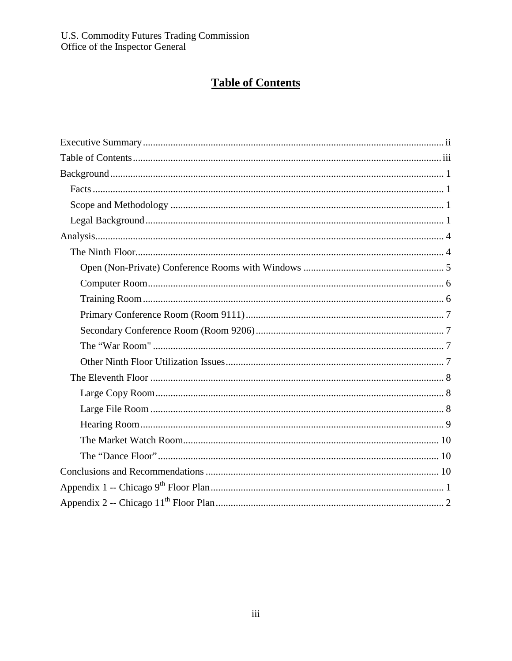# **Table of Contents**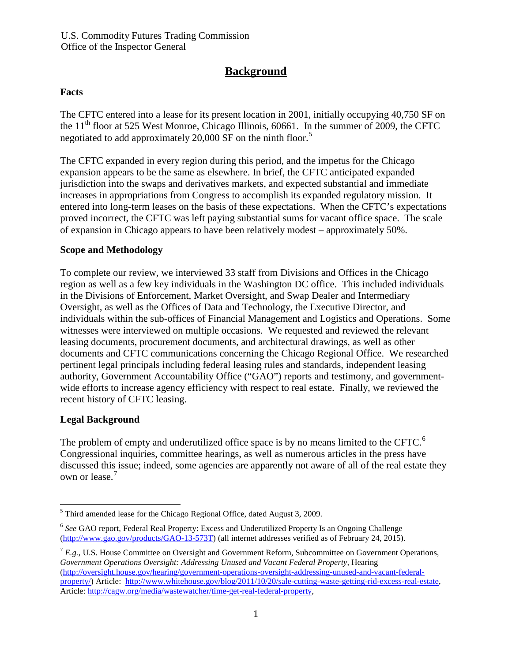# **Background**

#### **Facts**

 The CFTC entered into a lease for its present location in 2001, initially occupying 40,750 SF on negotiated to add approximately 20,000 SF on the ninth floor.<sup>5</sup> the  $11<sup>th</sup>$  floor at 525 West Monroe, Chicago Illinois, 60661. In the summer of 2009, the CFTC

 entered into long-term leases on the basis of these expectations. When the CFTC's expectations proved incorrect, the CFTC was left paying substantial sums for vacant office space. The scale of expansion in Chicago appears to have been relatively modest – approximately 50%. The CFTC expanded in every region during this period, and the impetus for the Chicago expansion appears to be the same as elsewhere. In brief, the CFTC anticipated expanded jurisdiction into the swaps and derivatives markets, and expected substantial and immediate increases in appropriations from Congress to accomplish its expanded regulatory mission. It

#### **Scope and Methodology**

 region as well as a few key individuals in the Washington DC office. This included individuals Oversight*,* as well as the Offices of Data and Technology, the Executive Director, and individuals within the sub-offices of Financial Management and Logistics and Operations. Some documents and CFTC communications concerning the Chicago Regional Office. We researched wide efforts to increase agency efficiency with respect to real estate. Finally, we reviewed the To complete our review, we interviewed 33 staff from Divisions and Offices in the Chicago in the Divisions of Enforcement, Market Oversight, and Swap Dealer and Intermediary witnesses were interviewed on multiple occasions. We requested and reviewed the relevant leasing documents, procurement documents, and architectural drawings, as well as other pertinent legal principals including federal leasing rules and standards, independent leasing authority, Government Accountability Office ("GAO") reports and testimony, and governmentrecent history of CFTC leasing.

#### **Legal Background**

The problem of empty and underutilized office space is by no means limited to the CFTC.<sup>6</sup> own or lease.<sup>7</sup> Congressional inquiries, committee hearings, as well as numerous articles in the press have discussed this issue; indeed, some agencies are apparently not aware of all of the real estate they

 $\overline{a}$  $<sup>5</sup>$  Third amended lease for the Chicago Regional Office, dated August 3, 2009.</sup>

 <sup>6</sup>*See* GAO report, Federal Real Property: Excess and Underutilized Property Is an Ongoing Challenge (http://www.gao.gov/products/GAO-13-573T) (all internet addresses verified as of February 24, 2015).

 ${}^{7}E.g., U.S.$  House Committee on Oversight and Government Reform, Subcommittee on Government Operations, Government Operations Oversight: Addressing Unused and Vacant Federal Property, Hearing (http://oversight.house.gov/hearing/government-operations-oversight-addressing-unused-and-vacant-federalproperty/) Article: http://www.whitehouse.gov/blog/2011/10/20/sale-cutting-waste-getting-rid-excess-real-estate, Article: http://cagw.org/media/wastewatcher/time-get-real-federal-property,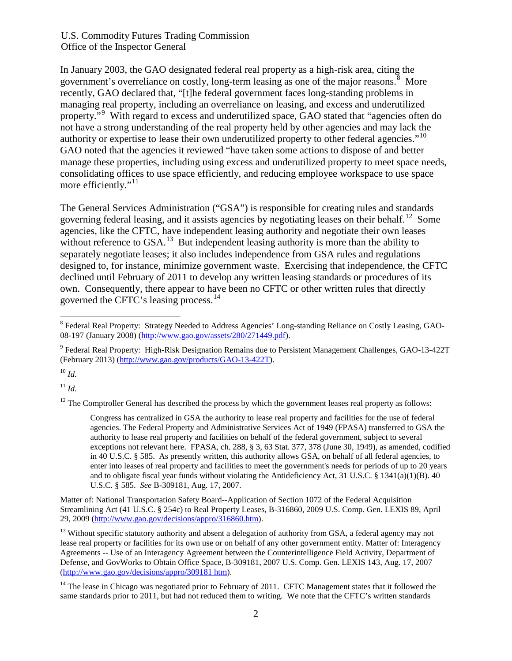government's overreliance on costly, long-term leasing as one of the major reasons.<sup>8</sup> More property."<sup>9</sup> With regard to excess and underutilized space, GAO stated that "agencies often do authority or expertise to lease their own underutilized property to other federal agencies."<sup>10</sup> In January 2003, the GAO designated federal real property as a high-risk area, citing the recently, GAO declared that, "[t]he federal government faces long-standing problems in managing real property, including an overreliance on leasing, and excess and underutilized not have a strong understanding of the real property held by other agencies and may lack the GAO noted that the agencies it reviewed "have taken some actions to dispose of and better manage these properties, including using excess and underutilized property to meet space needs, consolidating offices to use space efficiently, and reducing employee workspace to use space more efficiently."<sup>11</sup>

governing federal leasing, and it assists agencies by negotiating leases on their behalf.<sup>12</sup> Some The General Services Administration ("GSA") is responsible for creating rules and standards agencies, like the CFTC, have independent leasing authority and negotiate their own leases without reference to  $GSA$ <sup>13</sup> But independent leasing authority is more than the ability to separately negotiate leases; it also includes independence from GSA rules and regulations designed to, for instance, minimize government waste. Exercising that independence, the CFTC declined until February of 2011 to develop any written leasing standards or procedures of its own. Consequently, there appear to have been no CFTC or other written rules that directly governed the CFTC's leasing process.<sup>14</sup>

 $^{10}$  *Id.* 

 $11$ *Id.* 

 $12$  The Comptroller General has described the process by which the government leases real property as follows:

 Congress has centralized in GSA the authority to lease real property and facilities for the use of federal exceptions not relevant here. FPASA, ch. 288, § 3, 63 Stat. 377, 378 (June 30, 1949), as amended, codified enter into leases of real property and facilities to meet the government's needs for periods of up to 20 years and to obligate fiscal year funds without violating the Antideficiency Act, 31 U.S.C. § 1341(a)(1)(B). 40 agencies. The Federal Property and Administrative Services Act of 1949 (FPASA) transferred to GSA the authority to lease real property and facilities on behalf of the federal government, subject to several in 40 U.S.C. § 585. As presently written, this authority allows GSA, on behalf of all federal agencies, to U.S.C. § 585. *See* B-309181, Aug. 17, 2007.

Matter of: National Transportation Safety Board--Application of Section 1072 of the Federal Acquisition Streamlining Act (41 U.S.C. § 254c) to Real Property Leases, B-316860, 2009 U.S. Comp. Gen. LEXIS 89, April 29, 2009 (http://www.gao.gov/decisions/appro/316860.htm).

<sup>13</sup> Without specific statutory authority and absent a delegation of authority from GSA, a federal agency may not lease real property or facilities for its own use or on behalf of any other government entity. Matter of: Interagency Agreements -- Use of an Interagency Agreement between the Counterintelligence Field Activity, Department of Defense, and GovWorks to Obtain Office Space, B-309181, 2007 U.S. Comp. Gen. LEXIS 143, Aug. 17, 2007 (http://www.gao.gov/decisions/appro/309181 htm).

 $14$  The lease in Chicago was negotiated prior to February of 2011. CFTC Management states that it followed the same standards prior to 2011, but had not reduced them to writing. We note that the CFTC's written standards

<sup>&</sup>lt;u>.</u> <sup>8</sup> Federal Real Property: Strategy Needed to Address Agencies' Long-standing Reliance on Costly Leasing, GAO-08-197 (January 2008) (http://www.gao.gov/assets/280/271449.pdf).

<sup>9</sup> Federal Real Property: High-Risk Designation Remains due to Persistent Management Challenges, GAO-13-422T (February 2013) (http://www.gao.gov/products/GAO-13-422T).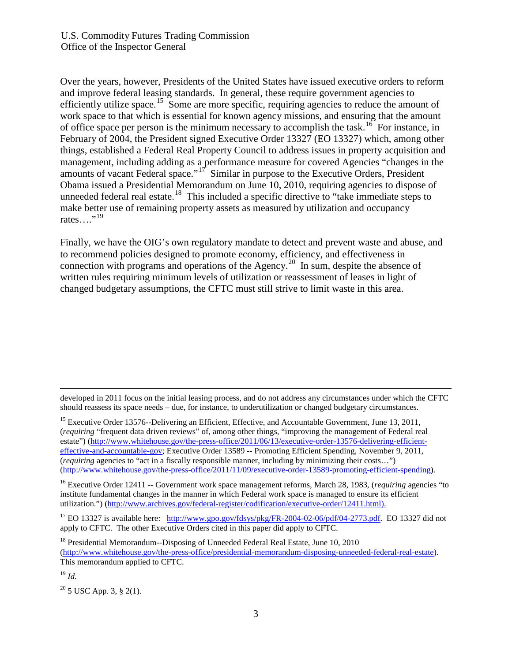efficiently utilize space.<sup>15</sup> Some are more specific, requiring agencies to reduce the amount of of office space per person is the minimum necessary to accomplish the task.<sup>16</sup> For instance, in amounts of vacant Federal space."<sup>17</sup> Similar in purpose to the Executive Orders, President unneeded federal real estate.<sup>18</sup> This included a specific directive to "take immediate steps to rates.... $\cdot$ <sup>19</sup> Over the years, however, Presidents of the United States have issued executive orders to reform and improve federal leasing standards. In general, these require government agencies to work space to that which is essential for known agency missions, and ensuring that the amount February of 2004, the President signed Executive Order 13327 (EO 13327) which, among other things, established a Federal Real Property Council to address issues in property acquisition and management, including adding as a performance measure for covered Agencies "changes in the Obama issued a Presidential Memorandum on June 10, 2010, requiring agencies to dispose of make better use of remaining property assets as measured by utilization and occupancy

connection with programs and operations of the Agency.<sup>20</sup> In sum, despite the absence of Finally, we have the OIG's own regulatory mandate to detect and prevent waste and abuse, and to recommend policies designed to promote economy, efficiency, and effectiveness in written rules requiring minimum levels of utilization or reassessment of leases in light of changed budgetary assumptions, the CFTC must still strive to limit waste in this area.

 $\overline{a}$ developed in 2011 focus on the initial leasing process, and do not address any circumstances under which the CFTC should reassess its space needs – due, for instance, to underutilization or changed budgetary circumstances.

<sup>15</sup> Executive Order 13576--Delivering an Efficient, Effective, and Accountable Government, June 13, 2011, (*requiring* "frequent data driven reviews" of, among other things, "improving the management of Federal real estate") (http://www.whitehouse.gov/the-press-office/2011/06/13/executive-order-13576-delivering-efficienteffective-and-accountable-gov; Executive Order 13589 -- Promoting Efficient Spending, November 9, 2011, (*requiring* agencies to "act in a fiscally responsible manner, including by minimizing their costs…") (http://www.whitehouse.gov/the-press-office/2011/11/09/executive-order-13589-promoting-efficient-spending).

<sup>16</sup> Executive Order 12411 -- Government work space management reforms, March 28, 1983, (*requiring* agencies "to institute fundamental changes in the manner in which Federal work space is managed to ensure its efficient utilization.") (http://www.archives.gov/federal-register/codification/executive-order/12411.html).

<sup>17</sup> EO 13327 is available here: http://www.gpo.gov/fdsys/pkg/FR-2004-02-06/pdf/04-2773.pdf. EO 13327 did not apply to CFTC. The other Executive Orders cited in this paper did apply to CFTC.

(http://www.whitehouse.gov/the-press-office/presidential-memorandum-disposing-unneeded-federal-real-estate).<br>This memorandum applied to CFTC.<br><sup>19</sup> *Id.* This memorandum applied to CFTC. <sup>18</sup> Presidential Memorandum--Disposing of Unneeded Federal Real Estate, June 10, 2010

 $^{19}$  *Id* 

 $20\,5$  USC App. 3, § 2(1). 3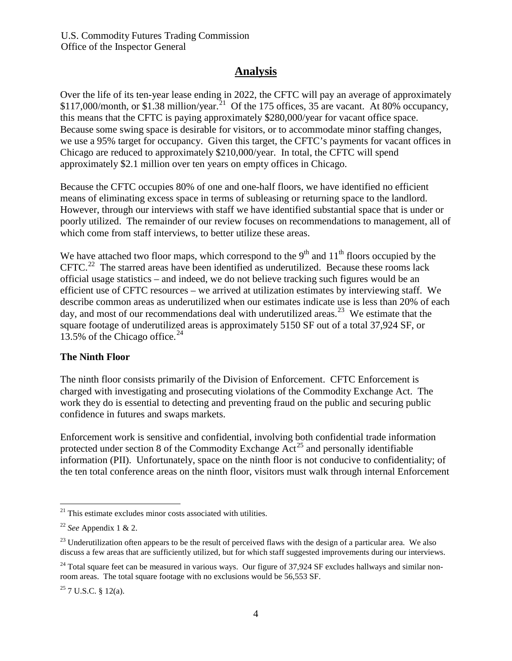### **Analysis**

 Over the life of its ten-year lease ending in 2022, the CFTC will pay an average of approximately \$117,000/month, or \$1.38 million/year.<sup>21</sup> Of the 175 offices, 35 are vacant. At 80% occupancy, we use a 95% target for occupancy. Given this target, the CFTC's payments for vacant offices in Chicago are reduced to approximately \$210,000/year. In total, the CFTC will spend approximately \$2.1 million over ten years on empty offices in Chicago. this means that the CFTC is paying approximately \$280,000/year for vacant office space. Because some swing space is desirable for visitors, or to accommodate minor staffing changes,

Because the CFTC occupies 80% of one and one-half floors, we have identified no efficient means of eliminating excess space in terms of subleasing or returning space to the landlord. However, through our interviews with staff we have identified substantial space that is under or poorly utilized. The remainder of our review focuses on recommendations to management, all of which come from staff interviews, to better utilize these areas.

We have attached two floor maps, which correspond to the  $9<sup>th</sup>$  and  $11<sup>th</sup>$  floors occupied by the  $CFTC<sup>22</sup>$  The starred areas have been identified as underutilized. Because these rooms lack describe common areas as underutilized when our estimates indicate use is less than 20% of each day, and most of our recommendations deal with underutilized areas.<sup>23</sup> We estimate that the official usage statistics – and indeed, we do not believe tracking such figures would be an efficient use of CFTC resources – we arrived at utilization estimates by interviewing staff. We square footage of underutilized areas is approximately 5150 SF out of a total 37,924 SF, or 13.5% of the Chicago office. 24

#### **The Ninth Floor**

 work they do is essential to detecting and preventing fraud on the public and securing public The ninth floor consists primarily of the Division of Enforcement. CFTC Enforcement is charged with investigating and prosecuting violations of the Commodity Exchange Act. The confidence in futures and swaps markets.

 Enforcement work is sensitive and confidential, involving both confidential trade information protected under section 8 of the Commodity Exchange  $Act^{25}$  and personally identifiable information (PII). Unfortunately, space on the ninth floor is not conducive to confidentiality; of the ten total conference areas on the ninth floor, visitors must walk through internal Enforcement

 $\overline{a}$  $21$  This estimate excludes minor costs associated with utilities.

 <sup>22</sup>*See* Appendix 1 & 2.

 $23$  Underutilization often appears to be the result of perceived flaws with the design of a particular area. We also discuss a few areas that are sufficiently utilized, but for which staff suggested improvements during our interviews.

 $24$  Total square feet can be measured in various ways. Our figure of 37,924 SF excludes hallways and similar non-room areas. The total square footage with no exclusions would be 56,553 SF.

 $25$  7 U.S.C. § 12(a).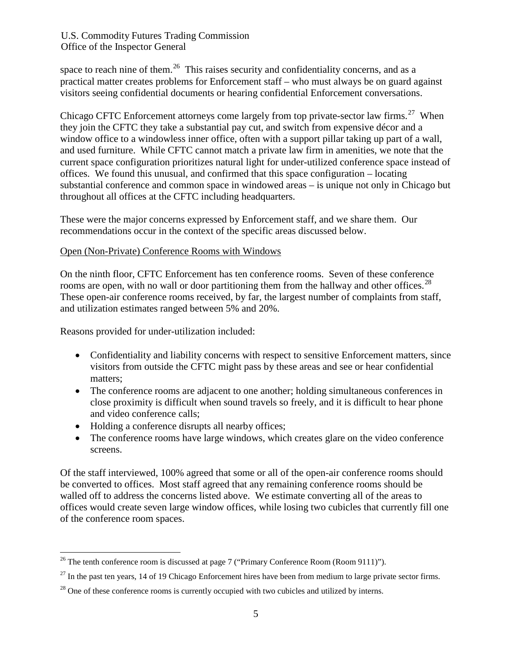space to reach nine of them.<sup>26</sup> This raises security and confidentiality concerns, and as a visitors seeing confidential documents or hearing confidential Enforcement conversations. practical matter creates problems for Enforcement staff – who must always be on guard against

Chicago CFTC Enforcement attorneys come largely from top private-sector law firms.<sup>27</sup> When they join the CFTC they take a substantial pay cut, and switch from expensive décor and a window office to a windowless inner office, often with a support pillar taking up part of a wall, substantial conference and common space in windowed areas – is unique not only in Chicago but and used furniture. While CFTC cannot match a private law firm in amenities, we note that the current space configuration prioritizes natural light for under-utilized conference space instead of offices. We found this unusual, and confirmed that this space configuration – locating throughout all offices at the CFTC including headquarters.

 recommendations occur in the context of the specific areas discussed below. These were the major concerns expressed by Enforcement staff, and we share them. Our

#### Open (Non-Private) Conference Rooms with Windows

 On the ninth floor, CFTC Enforcement has ten conference rooms. Seven of these conference rooms are open, with no wall or door partitioning them from the hallway and other offices.<sup>28</sup> These open-air conference rooms received, by far, the largest number of complaints from staff, and utilization estimates ranged between 5% and 20%.

Reasons provided for under-utilization included:

- Confidentiality and liability concerns with respect to sensitive Enforcement matters, since visitors from outside the CFTC might pass by these areas and see or hear confidential matters;
- The conference rooms are adjacent to one another; holding simultaneous conferences in close proximity is difficult when sound travels so freely, and it is difficult to hear phone and video conference calls;
- Holding a conference disrupts all nearby offices;
- The conference rooms have large windows, which creates glare on the video conference screens.

 be converted to offices. Most staff agreed that any remaining conference rooms should be walled off to address the concerns listed above. We estimate converting all of the areas to Of the staff interviewed, 100% agreed that some or all of the open-air conference rooms should offices would create seven large window offices, while losing two cubicles that currently fill one of the conference room spaces.

 $\overline{a}$ <sup>26</sup> The tenth conference room is discussed at page 7 ("Primary Conference Room (Room 9111)").

 $^{27}$  In the past ten years, 14 of 19 Chicago Enforcement hires have been from medium to large private sector firms.

 $28$  One of these conference rooms is currently occupied with two cubicles and utilized by interns.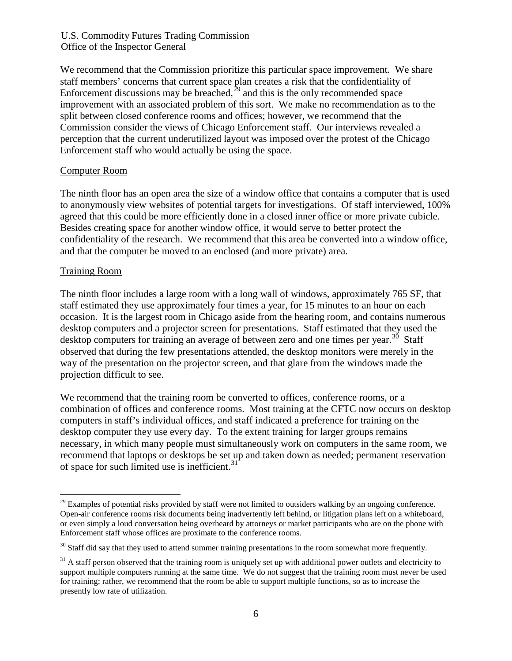We recommend that the Commission prioritize this particular space improvement. We share improvement with an associated problem of this sort. We make no recommendation as to the perception that the current underutilized layout was imposed over the protest of the Chicago staff members' concerns that current space plan creates a risk that the confidentiality of Enforcement discussions may be breached,  $29$  and this is the only recommended space split between closed conference rooms and offices; however, we recommend that the Commission consider the views of Chicago Enforcement staff. Our interviews revealed a Enforcement staff who would actually be using the space.

#### Computer Room

 agreed that this could be more efficiently done in a closed inner office or more private cubicle. Besides creating space for another window office, it would serve to better protect the and that the computer be moved to an enclosed (and more private) area. The ninth floor has an open area the size of a window office that contains a computer that is used to anonymously view websites of potential targets for investigations. Of staff interviewed, 100% confidentiality of the research. We recommend that this area be converted into a window office,

#### Training Room

 The ninth floor includes a large room with a long wall of windows, approximately 765 SF, that occasion. It is the largest room in Chicago aside from the hearing room, and contains numerous desktop computers for training an average of between zero and one times per year.<sup>30</sup> Staff staff estimated they use approximately four times a year, for 15 minutes to an hour on each desktop computers and a projector screen for presentations. Staff estimated that they used the observed that during the few presentations attended, the desktop monitors were merely in the way of the presentation on the projector screen, and that glare from the windows made the projection difficult to see.

 We recommend that the training room be converted to offices, conference rooms, or a desktop computer they use every day. To the extent training for larger groups remains necessary, in which many people must simultaneously work on computers in the same room, we combination of offices and conference rooms. Most training at the CFTC now occurs on desktop computers in staff's individual offices, and staff indicated a preference for training on the recommend that laptops or desktops be set up and taken down as needed; permanent reservation of space for such limited use is inefficient.<sup>31</sup>

 $\overline{a}$  $^{29}$  Examples of potential risks provided by staff were not limited to outsiders walking by an ongoing conference. <sup>29</sup> Examples of potential risks provided by staff were not limited to outsiders walking by an ongoing conference.<br>Open-air conference rooms risk documents being inadvertently left behind, or litigation plans left on a whi or even simply a loud conversation being overheard by attorneys or market participants who are on the phone with Enforcement staff whose offices are proximate to the conference rooms.

 $30$  Staff did say that they used to attend summer training presentations in the room somewhat more frequently.

 $30$  Staff did say that they used to attend summer training presentations in the room somewhat more frequently.<br> $31$  A staff person observed that the training room is uniquely set up with additional power outlets and elec support multiple computers running at the same time. We do not suggest that the training room must never be used for training; rather, we recommend that the room be able to support multiple functions, so as to increase the presently low rate of utilization.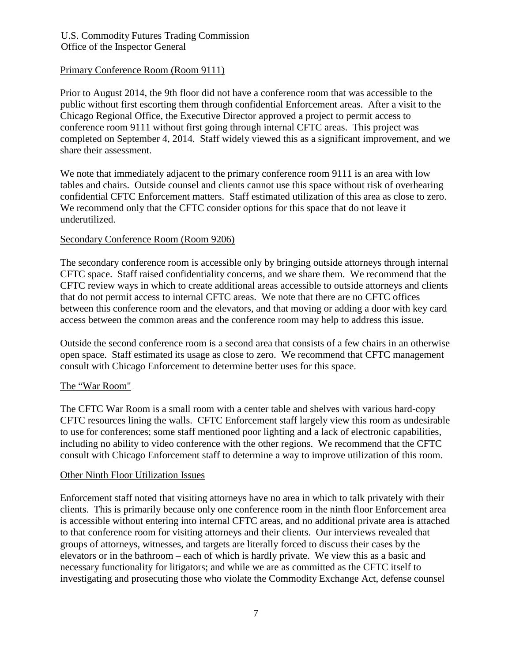#### Primary Conference Room (Room 9111)

 public without first escorting them through confidential Enforcement areas. After a visit to the share their assessment. Prior to August 2014, the 9th floor did not have a conference room that was accessible to the Chicago Regional Office, the Executive Director approved a project to permit access to conference room 9111 without first going through internal CFTC areas. This project was completed on September 4, 2014. Staff widely viewed this as a significant improvement, and we

 confidential CFTC Enforcement matters. Staff estimated utilization of this area as close to zero. We note that immediately adjacent to the primary conference room 9111 is an area with low tables and chairs. Outside counsel and clients cannot use this space without risk of overhearing We recommend only that the CFTC consider options for this space that do not leave it underutilized.

#### Secondary Conference Room (Room 9206)

 CFTC space. Staff raised confidentiality concerns, and we share them. We recommend that the CFTC review ways in which to create additional areas accessible to outside attorneys and clients that do not permit access to internal CFTC areas. We note that there are no CFTC offices The secondary conference room is accessible only by bringing outside attorneys through internal between this conference room and the elevators, and that moving or adding a door with key card access between the common areas and the conference room may help to address this issue.

Outside the second conference room is a second area that consists of a few chairs in an otherwise open space. Staff estimated its usage as close to zero. We recommend that CFTC management consult with Chicago Enforcement to determine better uses for this space.

#### The "War Room"

 to use for conferences; some staff mentioned poor lighting and a lack of electronic capabilities, The CFTC War Room is a small room with a center table and shelves with various hard-copy CFTC resources lining the walls. CFTC Enforcement staff largely view this room as undesirable including no ability to video conference with the other regions. We recommend that the CFTC consult with Chicago Enforcement staff to determine a way to improve utilization of this room.

#### Other Ninth Floor Utilization Issues

Other Ninth Floor Utilization Issues<br>Enforcement staff noted that visiting attorneys have no area in which to talk privately with their clients. This is primarily because only one conference room in the ninth floor Enforcement area to that conference room for visiting attorneys and their clients. Our interviews revealed that elevators or in the bathroom – each of which is hardly private. We view this as a basic and is accessible without entering into internal CFTC areas, and no additional private area is attached groups of attorneys, witnesses, and targets are literally forced to discuss their cases by the necessary functionality for litigators; and while we are as committed as the CFTC itself to investigating and prosecuting those who violate the Commodity Exchange Act, defense counsel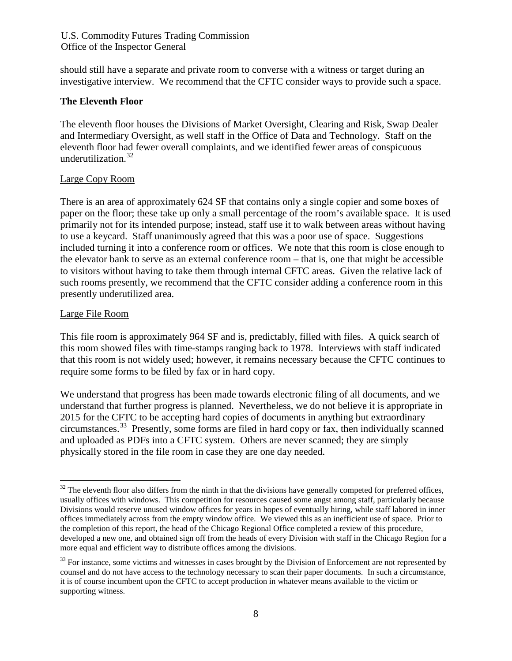investigative interview. We recommend that the CFTC consider ways to provide such a space. should still have a separate and private room to converse with a witness or target during an

#### **The Eleventh Floor**

 and Intermediary Oversight, as well staff in the Office of Data and Technology. Staff on the eleventh floor had fewer overall complaints, and we identified fewer areas of conspicuous underutilization.<sup>32</sup> The eleventh floor houses the Divisions of Market Oversight, Clearing and Risk, Swap Dealer

#### Large Copy Room

 There is an area of approximately 624 SF that contains only a single copier and some boxes of paper on the floor; these take up only a small percentage of the room's available space. It is used the elevator bank to serve as an external conference room – that is, one that might be accessible primarily not for its intended purpose; instead, staff use it to walk between areas without having to use a keycard. Staff unanimously agreed that this was a poor use of space. Suggestions included turning it into a conference room or offices. We note that this room is close enough to to visitors without having to take them through internal CFTC areas. Given the relative lack of such rooms presently, we recommend that the CFTC consider adding a conference room in this presently underutilized area.

#### Large File Room

-

 that this room is not widely used; however, it remains necessary because the CFTC continues to This file room is approximately 964 SF and is, predictably, filled with files. A quick search of this room showed files with time-stamps ranging back to 1978. Interviews with staff indicated require some forms to be filed by fax or in hard copy.

 We understand that progress has been made towards electronic filing of all documents, and we circumstances.33 Presently, some forms are filed in hard copy or fax, then individually scanned and uploaded as PDFs into a CFTC system. Others are never scanned; they are simply physically stored in the file room in case they are one day needed. understand that further progress is planned. Nevertheless, we do not believe it is appropriate in 2015 for the CFTC to be accepting hard copies of documents in anything but extraordinary

 $32$  The eleventh floor also differs from the ninth in that the divisions have generally competed for preferred offices, usually offices with windows. This competition for resources caused some angst among staff, particularly because Divisions would reserve unused window offices for years in hopes of eventually hiring, while staff labored in inner offices immediately across from the empty window office. We viewed this as an inefficient use of space. Prior to developed a new one, and obtained sign off from the heads of every Division with staff in the Chicago Region for a the completion of this report, the head of the Chicago Regional Office completed a review of this procedure, more equal and efficient way to distribute offices among the divisions.

 $33$  For instance, some victims and witnesses in cases brought by the Division of Enforcement are not represented by it is of course incumbent upon the CFTC to accept production in whatever means available to the victim or counsel and do not have access to the technology necessary to scan their paper documents. In such a circumstance, supporting witness.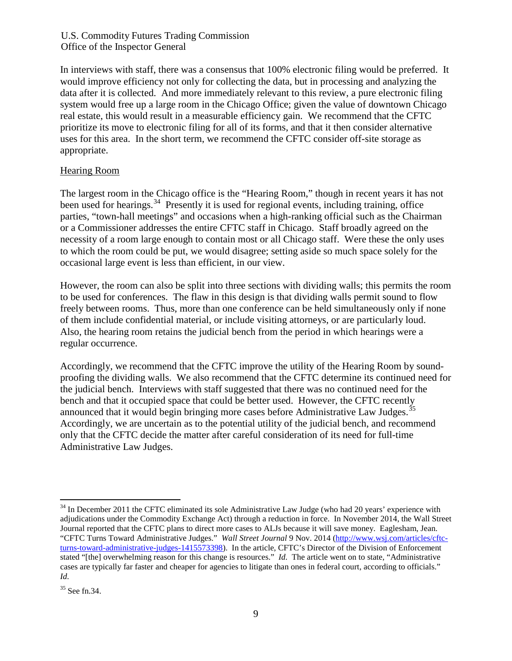In interviews with staff, there was a consensus that 100% electronic filing would be preferred. It would improve efficiency not only for collecting the data, but in processing and analyzing the data after it is collected. And more immediately relevant to this review, a pure electronic filing system would free up a large room in the Chicago Office; given the value of downtown Chicago real estate, this would result in a measurable efficiency gain. We recommend that the CFTC prioritize its move to electronic filing for all of its forms, and that it then consider alternative uses for this area. In the short term, we recommend the CFTC consider off-site storage as appropriate.

#### Hearing Room

been used for hearings.<sup>34</sup> Presently it is used for regional events, including training, office parties, "town-hall meetings" and occasions when a high-ranking official such as the Chairman or a Commissioner addresses the entire CFTC staff in Chicago. Staff broadly agreed on the The largest room in the Chicago office is the "Hearing Room," though in recent years it has not necessity of a room large enough to contain most or all Chicago staff. Were these the only uses to which the room could be put, we would disagree; setting aside so much space solely for the occasional large event is less than efficient, in our view.

 However, the room can also be split into three sections with dividing walls; this permits the room to be used for conferences. The flaw in this design is that dividing walls permit sound to flow of them include confidential material, or include visiting attorneys, or are particularly loud. freely between rooms. Thus, more than one conference can be held simultaneously only if none Also, the hearing room retains the judicial bench from the period in which hearings were a regular occurrence.

announced that it would begin bringing more cases before Administrative Law Judges.<sup>35</sup> only that the CFTC decide the matter after careful consideration of its need for full-time Administrative Law Judges. Accordingly, we recommend that the CFTC improve the utility of the Hearing Room by soundproofing the dividing walls. We also recommend that the CFTC determine its continued need for the judicial bench. Interviews with staff suggested that there was no continued need for the bench and that it occupied space that could be better used. However, the CFTC recently Accordingly, we are uncertain as to the potential utility of the judicial bench, and recommend

<sup>&</sup>lt;u>.</u> adjudications under the Commodity Exchange Act) through a reduction in force. In November 2014, the Wall Street Journal reported that the CFTC plans to direct more cases to ALJs because it will save money. Eaglesham, Jean. "CFTC Turns Toward Administrative Judges." *Wall Street Journal* 9 Nov. 2014 (http://www.wsj.com/articles/cftc- cases are typically far faster and cheaper for agencies to litigate than ones in federal court, according to officials."  $34$  In December 2011 the CFTC eliminated its sole Administrative Law Judge (who had 20 years' experience with turns-toward-administrative-judges-1415573398). In the article, CFTC's Director of the Division of Enforcement stated "[the] overwhelming reason for this change is resources." *Id.* The article went on to state, "Administrative *Id.* 

 $35$  See fn.34.  $35$  See fn.34. 9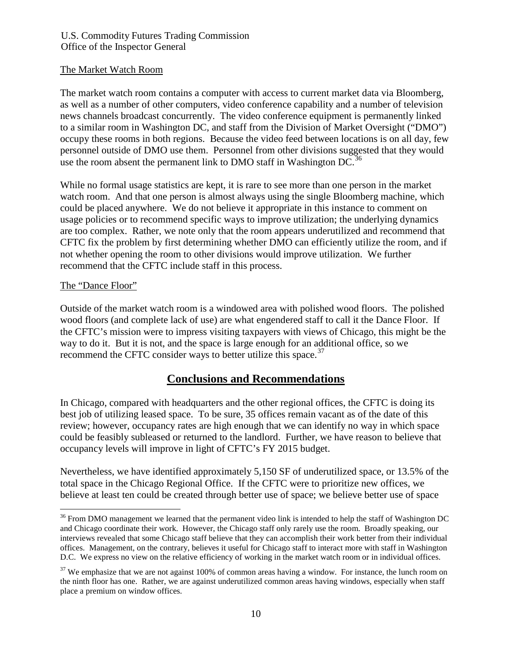#### The Market Watch Room

 as well as a number of other computers, video conference capability and a number of television occupy these rooms in both regions. Because the video feed between locations is on all day, few personnel outside of DMO use them. Personnel from other divisions suggested that they would The market watch room contains a computer with access to current market data via Bloomberg, news channels broadcast concurrently. The video conference equipment is permanently linked to a similar room in Washington DC, and staff from the Division of Market Oversight ("DMO") use the room absent the permanent link to DMO staff in Washington DC.<sup>36</sup>

 are too complex. Rather, we note only that the room appears underutilized and recommend that While no formal usage statistics are kept, it is rare to see more than one person in the market watch room. And that one person is almost always using the single Bloomberg machine, which could be placed anywhere. We do not believe it appropriate in this instance to comment on usage policies or to recommend specific ways to improve utilization; the underlying dynamics CFTC fix the problem by first determining whether DMO can efficiently utilize the room, and if not whether opening the room to other divisions would improve utilization. We further recommend that the CFTC include staff in this process.

#### The "Dance Floor"

 wood floors (and complete lack of use) are what engendered staff to call it the Dance Floor. If Outside of the market watch room is a windowed area with polished wood floors. The polished the CFTC's mission were to impress visiting taxpayers with views of Chicago, this might be the way to do it. But it is not, and the space is large enough for an additional office, so we recommend the CFTC consider ways to better utilize this space.<sup>37</sup>

### **Conclusions and Recommendations**

 review; however, occupancy rates are high enough that we can identify no way in which space In Chicago, compared with headquarters and the other regional offices, the CFTC is doing its best job of utilizing leased space. To be sure, 35 offices remain vacant as of the date of this could be feasibly subleased or returned to the landlord. Further, we have reason to believe that occupancy levels will improve in light of CFTC's FY 2015 budget.

Nevertheless, we have identified approximately 5,150 SF of underutilized space, or 13.5% of the total space in the Chicago Regional Office. If the CFTC were to prioritize new offices, we believe at least ten could be created through better use of space; we believe better use of space

<sup>-</sup> $36$  From DMO management we learned that the permanent video link is intended to help the staff of Washington DC offices. Management, on the contrary, believes it useful for Chicago staff to interact more with staff in Washington D.C. We express no view on the relative efficiency of working in the market watch room or in individual offices. and Chicago coordinate their work. However, the Chicago staff only rarely use the room. Broadly speaking, our interviews revealed that some Chicago staff believe that they can accomplish their work better from their individual

 the ninth floor has one. Rather, we are against underutilized common areas having windows, especially when staff  $37$  We emphasize that we are not against 100% of common areas having a window. For instance, the lunch room on place a premium on window offices.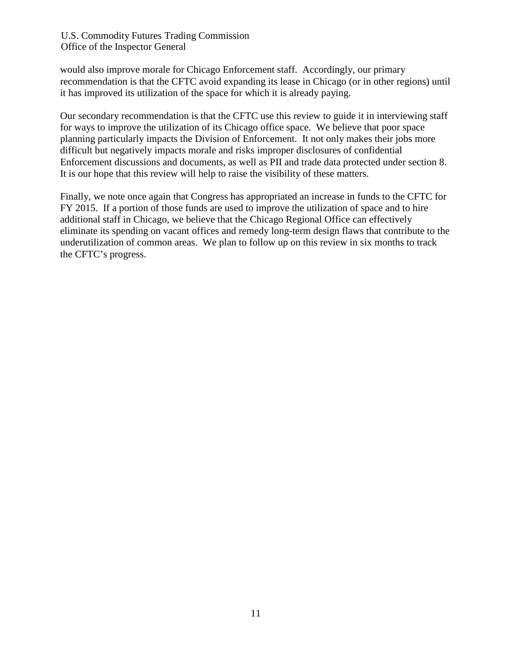it has improved its utilization of the space for which it is already paying. would also improve morale for Chicago Enforcement staff. Accordingly, our primary recommendation is that the CFTC avoid expanding its lease in Chicago (or in other regions) until

 it has improved its utilization of the space for which it is already paying. Our secondary recommendation is that the CFTC use this review to guide it in interviewing staff difficult but negatively impacts morale and risks improper disclosures of confidential It is our hope that this review will help to raise the visibility of these matters. for ways to improve the utilization of its Chicago office space. We believe that poor space planning particularly impacts the Division of Enforcement. It not only makes their jobs more Enforcement discussions and documents, as well as PII and trade data protected under section 8.

 Finally, we note once again that Congress has appropriated an increase in funds to the CFTC for FY 2015. If a portion of those funds are used to improve the utilization of space and to hire additional staff in Chicago, we believe that the Chicago Regional Office can effectively eliminate its spending on vacant offices and remedy long-term design flaws that contribute to the underutilization of common areas. We plan to follow up on this review in six months to track the CFTC's progress.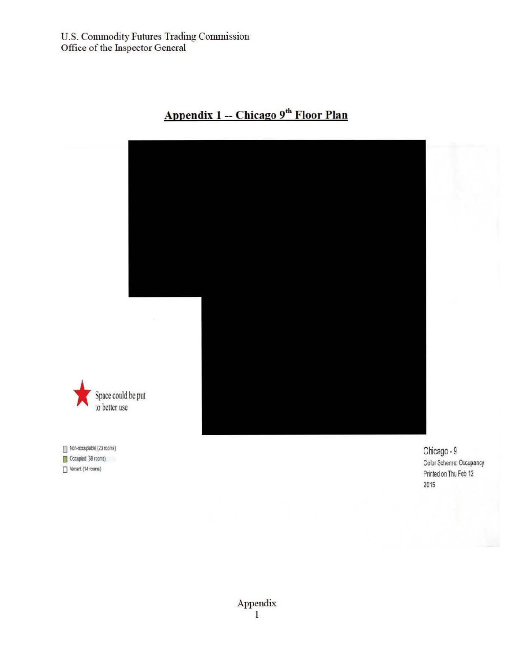



Non-occupiable (23 rooms) **0** Occupied (38 rooms)  $\Box$  Vacant (14 rooms)

 $\bigstar$ <sub>sp</sub>

Chicago -9 Color Scheme:Occupancy Printed on Thu Feb 12 2015